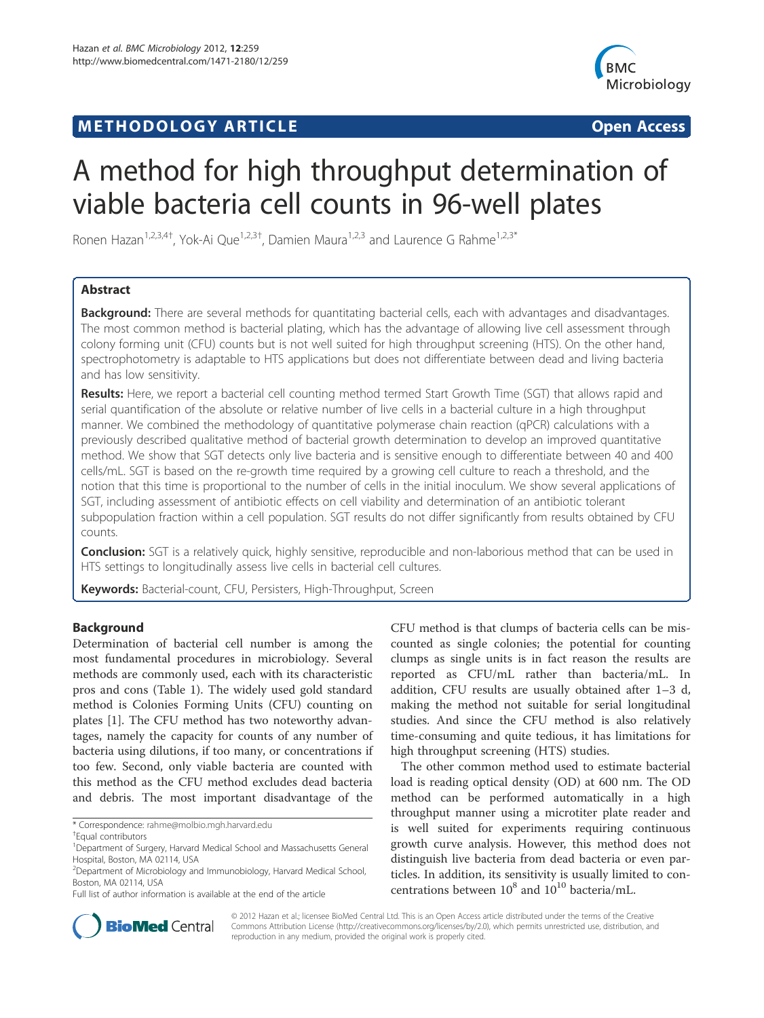## **METHODOLOGY ARTICLE CONSUMING A RESERVE AND LOGISTIC AND LOGISTIC ACCESS**



# A method for high throughput determination of viable bacteria cell counts in 96-well plates

Ronen Hazan<sup>1,2,3,4†</sup>, Yok-Ai Que<sup>1,2,3†</sup>, Damien Maura<sup>1,2,3</sup> and Laurence G Rahme<sup>1,2,3\*</sup>

## Abstract

Background: There are several methods for quantitating bacterial cells, each with advantages and disadvantages. The most common method is bacterial plating, which has the advantage of allowing live cell assessment through colony forming unit (CFU) counts but is not well suited for high throughput screening (HTS). On the other hand, spectrophotometry is adaptable to HTS applications but does not differentiate between dead and living bacteria and has low sensitivity.

Results: Here, we report a bacterial cell counting method termed Start Growth Time (SGT) that allows rapid and serial quantification of the absolute or relative number of live cells in a bacterial culture in a high throughput manner. We combined the methodology of quantitative polymerase chain reaction (qPCR) calculations with a previously described qualitative method of bacterial growth determination to develop an improved quantitative method. We show that SGT detects only live bacteria and is sensitive enough to differentiate between 40 and 400 cells/mL. SGT is based on the re-growth time required by a growing cell culture to reach a threshold, and the notion that this time is proportional to the number of cells in the initial inoculum. We show several applications of SGT, including assessment of antibiotic effects on cell viability and determination of an antibiotic tolerant subpopulation fraction within a cell population. SGT results do not differ significantly from results obtained by CFU counts.

Conclusion: SGT is a relatively quick, highly sensitive, reproducible and non-laborious method that can be used in HTS settings to longitudinally assess live cells in bacterial cell cultures.

Keywords: Bacterial-count, CFU, Persisters, High-Throughput, Screen

## Background

Determination of bacterial cell number is among the most fundamental procedures in microbiology. Several methods are commonly used, each with its characteristic pros and cons (Table 1). The widely used gold standard method is Colonies Forming Units (CFU) counting on plates [1]. The CFU method has two noteworthy advantages, namely the capacity for counts of any number of bacteria using dilutions, if too many, or concentrations if too few. Second, only viable bacteria are counted with this method as the CFU method excludes dead bacteria and debris. The most important disadvantage of the

CFU method is that clumps of bacteria cells can be miscounted as single colonies; the potential for counting clumps as single units is in fact reason the results are reported as CFU/mL rather than bacteria/mL. In addition, CFU results are usually obtained after 1–3 d, making the method not suitable for serial longitudinal studies. And since the CFU method is also relatively time-consuming and quite tedious, it has limitations for high throughput screening (HTS) studies.

The other common method used to estimate bacterial load is reading optical density (OD) at 600 nm. The OD method can be performed automatically in a high throughput manner using a microtiter plate reader and is well suited for experiments requiring continuous growth curve analysis. However, this method does not distinguish live bacteria from dead bacteria or even particles. In addition, its sensitivity is usually limited to concentrations between  $10^8$  and  $10^{10}$  bacteria/mL.



© 2012 Hazan et al.; licensee BioMed Central Ltd. This is an Open Access article distributed under the terms of the Creative Commons Attribution License (http://creativecommons.org/licenses/by/2.0), which permits unrestricted use, distribution, and reproduction in any medium, provided the original work is properly cited.

<sup>\*</sup> Correspondence: rahme@molbio.mgh.harvard.edu †

Equal contributors

<sup>&</sup>lt;sup>1</sup>Department of Surgery, Harvard Medical School and Massachusetts General Hospital, Boston, MA 02114, USA

<sup>&</sup>lt;sup>2</sup>Department of Microbiology and Immunobiology, Harvard Medical School, Boston, MA 02114, USA

Full list of author information is available at the end of the article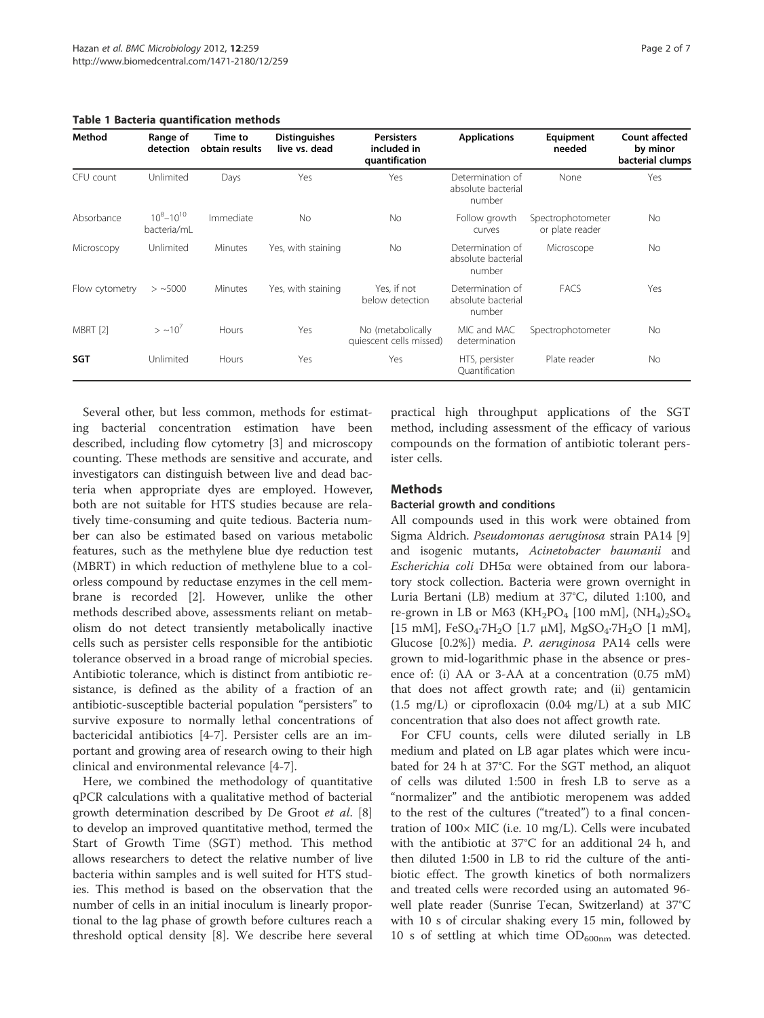Table 1 Bacteria quantification methods

| <b>Method</b>  | Range of<br>detection             | Time to<br>obtain results | <b>Distinguishes</b><br>live vs. dead | <b>Persisters</b><br>included in<br>quantification | <b>Applications</b>                              | Equipment<br>needed                  | <b>Count affected</b><br>by minor<br>bacterial clumps |
|----------------|-----------------------------------|---------------------------|---------------------------------------|----------------------------------------------------|--------------------------------------------------|--------------------------------------|-------------------------------------------------------|
| CFU count      | Unlimited                         | Days                      | Yes                                   | Yes                                                | Determination of<br>absolute bacterial<br>number | None                                 | Yes                                                   |
| Absorbance     | $10^8 - 10^{10}$<br>bacteria/mL   | Immediate                 | No.                                   | <b>No</b>                                          | Follow growth<br>curves                          | Spectrophotometer<br>or plate reader | No                                                    |
| Microscopy     | Unlimited                         | <b>Minutes</b>            | Yes, with staining                    | <b>No</b>                                          | Determination of<br>absolute bacterial<br>number | Microscope                           | No.                                                   |
| Flow cytometry | $>$ ~5000                         | <b>Minutes</b>            | Yes, with staining                    | Yes. if not<br>below detection                     | Determination of<br>absolute bacterial<br>number | <b>FACS</b>                          | Yes                                                   |
| MBRT [2]       | $>$ ~10 <sup><math>'</math></sup> | Hours                     | Yes                                   | No (metabolically<br>quiescent cells missed)       | MIC and MAC<br>determination                     | Spectrophotometer                    | No                                                    |
| <b>SGT</b>     | Unlimited                         | Hours                     | Yes                                   | Yes                                                | HTS, persister<br>Quantification                 | Plate reader                         | No                                                    |

Several other, but less common, methods for estimating bacterial concentration estimation have been described, including flow cytometry [3] and microscopy counting. These methods are sensitive and accurate, and investigators can distinguish between live and dead bacteria when appropriate dyes are employed. However, both are not suitable for HTS studies because are relatively time-consuming and quite tedious. Bacteria number can also be estimated based on various metabolic features, such as the methylene blue dye reduction test (MBRT) in which reduction of methylene blue to a colorless compound by reductase enzymes in the cell membrane is recorded [2]. However, unlike the other methods described above, assessments reliant on metabolism do not detect transiently metabolically inactive cells such as persister cells responsible for the antibiotic tolerance observed in a broad range of microbial species. Antibiotic tolerance, which is distinct from antibiotic resistance, is defined as the ability of a fraction of an antibiotic-susceptible bacterial population "persisters" to survive exposure to normally lethal concentrations of bactericidal antibiotics [4-7]. Persister cells are an important and growing area of research owing to their high clinical and environmental relevance [4-7].

Here, we combined the methodology of quantitative qPCR calculations with a qualitative method of bacterial growth determination described by De Groot et al. [8] to develop an improved quantitative method, termed the Start of Growth Time (SGT) method. This method allows researchers to detect the relative number of live bacteria within samples and is well suited for HTS studies. This method is based on the observation that the number of cells in an initial inoculum is linearly proportional to the lag phase of growth before cultures reach a threshold optical density [8]. We describe here several

practical high throughput applications of the SGT method, including assessment of the efficacy of various compounds on the formation of antibiotic tolerant persister cells.

## **Methods**

### Bacterial growth and conditions

All compounds used in this work were obtained from Sigma Aldrich. Pseudomonas aeruginosa strain PA14 [9] and isogenic mutants, Acinetobacter baumanii and Escherichia coli DH5α were obtained from our laboratory stock collection. Bacteria were grown overnight in Luria Bertani (LB) medium at 37°C, diluted 1:100, and re-grown in LB or M63 (KH<sub>2</sub>PO<sub>4</sub> [100 mM], (NH<sub>4</sub>)<sub>2</sub>SO<sub>4</sub> [15 mM], FeSO<sub>4</sub>·7H<sub>2</sub>O [1.7 μM], MgSO<sub>4</sub>·7H<sub>2</sub>O [1 mM], Glucose [0.2%]) media. P. aeruginosa PA14 cells were grown to mid-logarithmic phase in the absence or presence of: (i) AA or 3-AA at a concentration (0.75 mM) that does not affect growth rate; and (ii) gentamicin (1.5 mg/L) or ciprofloxacin (0.04 mg/L) at a sub MIC concentration that also does not affect growth rate.

For CFU counts, cells were diluted serially in LB medium and plated on LB agar plates which were incubated for 24 h at 37°C. For the SGT method, an aliquot of cells was diluted 1:500 in fresh LB to serve as a "normalizer" and the antibiotic meropenem was added to the rest of the cultures ("treated") to a final concentration of 100× MIC (i.e. 10 mg/L). Cells were incubated with the antibiotic at 37°C for an additional 24 h, and then diluted 1:500 in LB to rid the culture of the antibiotic effect. The growth kinetics of both normalizers and treated cells were recorded using an automated 96 well plate reader (Sunrise Tecan, Switzerland) at 37°C with 10 s of circular shaking every 15 min, followed by 10 s of settling at which time  $OD_{600nm}$  was detected.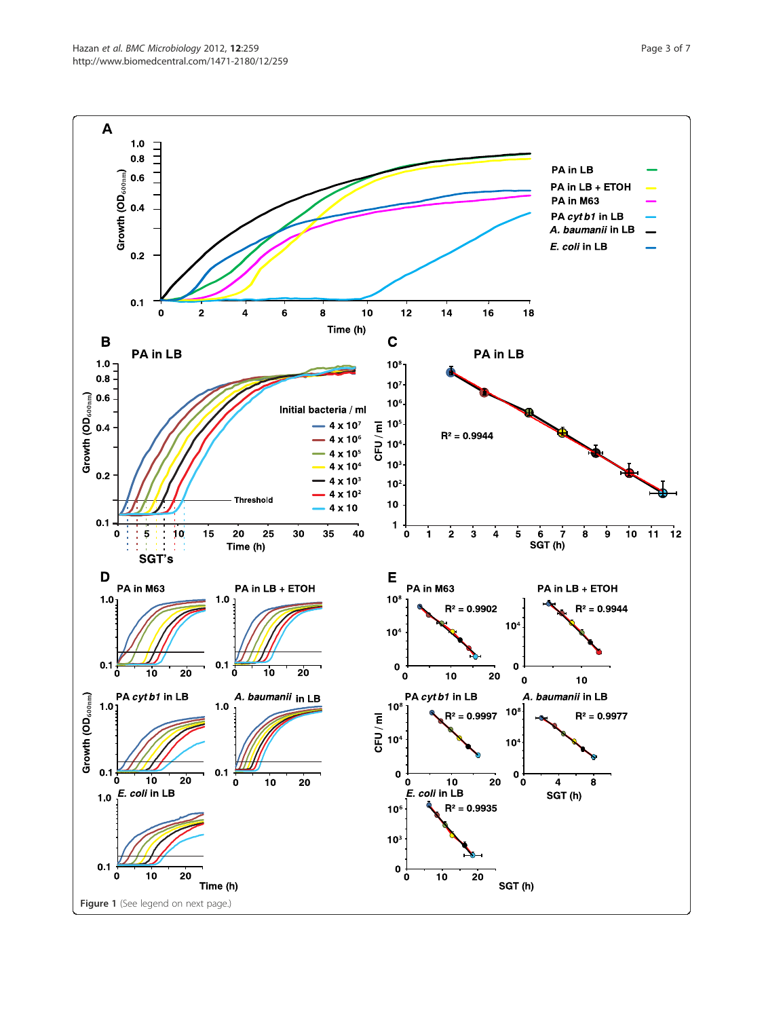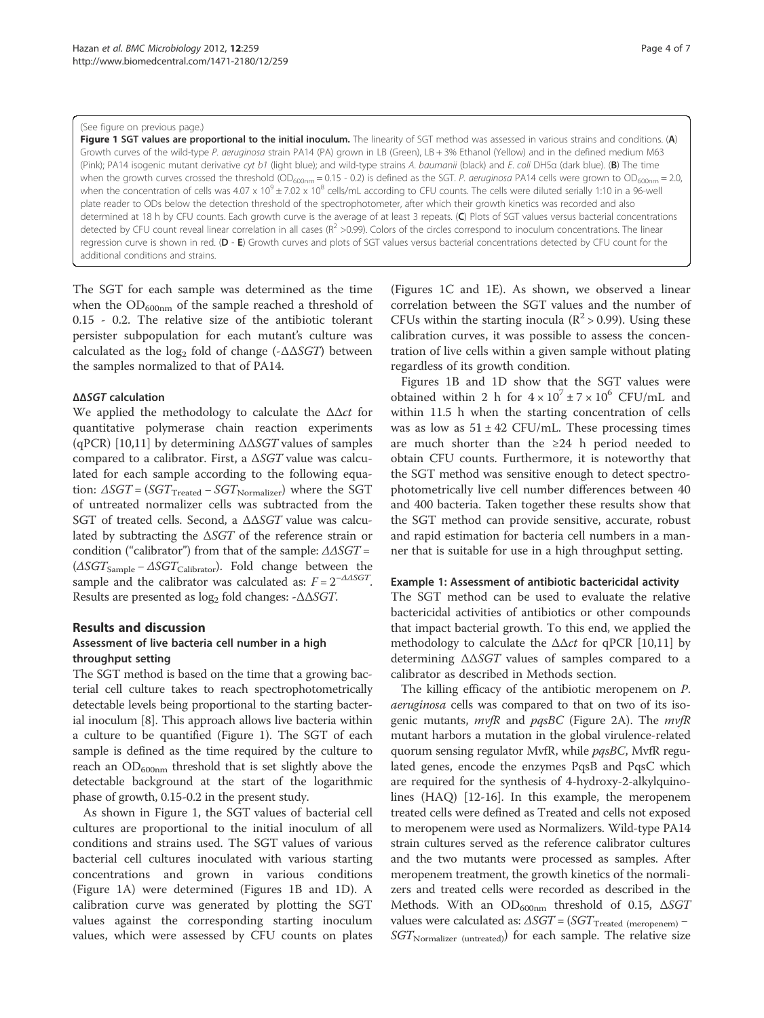#### (See figure on previous page.)

Figure 1 SGT values are proportional to the initial inoculum. The linearity of SGT method was assessed in various strains and conditions. (A) Growth curves of the wild-type P. aeruginosa strain PA14 (PA) grown in LB (Green), LB + 3% Ethanol (Yellow) and in the defined medium M63 (Pink); PA14 isogenic mutant derivative cyt b1 (light blue); and wild-type strains A. baumanii (black) and E. coli DH5a (dark blue). (B) The time when the growth curves crossed the threshold (OD<sub>600nm</sub> = 0.15 - 0.2) is defined as the SGT. P. aeruginosa PA14 cells were grown to OD<sub>600nm</sub> = 2.0, when the concentration of cells was 4.07 x 10 $^9$  ± 7.02 x 10 $^8$  cells/mL according to CFU counts. The cells were diluted serially 1:10 in a 96-well plate reader to ODs below the detection threshold of the spectrophotometer, after which their growth kinetics was recorded and also determined at 18 h by CFU counts. Each growth curve is the average of at least 3 repeats. (C) Plots of SGT values versus bacterial concentrations detected by CFU count reveal linear correlation in all cases ( $R^2 > 0.99$ ). Colors of the circles correspond to inoculum concentrations. The linear regression curve is shown in red. (D - E) Growth curves and plots of SGT values versus bacterial concentrations detected by CFU count for the additional conditions and strains.

The SGT for each sample was determined as the time when the  $OD_{600nm}$  of the sample reached a threshold of 0.15 - 0.2. The relative size of the antibiotic tolerant persister subpopulation for each mutant's culture was calculated as the log<sub>2</sub> fold of change (- $\Delta\Delta SGT$ ) between the samples normalized to that of PA14.

#### ΔΔSGT calculation

We applied the methodology to calculate the  $\Delta \Delta ct$  for quantitative polymerase chain reaction experiments (qPCR) [10,11] by determining  $\triangle \triangle SGT$  values of samples compared to a calibrator. First, a  $\Delta SGT$  value was calculated for each sample according to the following equation:  $\triangle SGT = (SGT_{\text{Treated}} - SGT_{\text{Normalizer}})$  where the SGT of untreated normalizer cells was subtracted from the SGT of treated cells. Second, a ΔΔSGT value was calculated by subtracting the  $\Delta SGT$  of the reference strain or condition ("calibrator") from that of the sample:  $\triangle \triangle SGT =$  $(\Delta SGT_{Sample} - \Delta SGT_{Calibrator})$ . Fold change between the sample and the calibrator was calculated as:  $F = 2^{-\Delta \Delta SGT}$ . Results are presented as  $log_2$  fold changes: - $\Delta \Delta SGT$ .

## Results and discussion

## Assessment of live bacteria cell number in a high throughput setting

The SGT method is based on the time that a growing bacterial cell culture takes to reach spectrophotometrically detectable levels being proportional to the starting bacterial inoculum [8]. This approach allows live bacteria within a culture to be quantified (Figure 1). The SGT of each sample is defined as the time required by the culture to reach an  $OD_{600nm}$  threshold that is set slightly above the detectable background at the start of the logarithmic phase of growth, 0.15-0.2 in the present study.

As shown in Figure 1, the SGT values of bacterial cell cultures are proportional to the initial inoculum of all conditions and strains used. The SGT values of various bacterial cell cultures inoculated with various starting concentrations and grown in various conditions (Figure 1A) were determined (Figures 1B and 1D). A calibration curve was generated by plotting the SGT values against the corresponding starting inoculum values, which were assessed by CFU counts on plates

(Figures 1C and 1E). As shown, we observed a linear correlation between the SGT values and the number of CFUs within the starting inocula ( $R^2 > 0.99$ ). Using these calibration curves, it was possible to assess the concentration of live cells within a given sample without plating regardless of its growth condition.

Figures 1B and 1D show that the SGT values were obtained within 2 h for  $4 \times 10^7 \pm 7 \times 10^6$  CFU/mL and within 11.5 h when the starting concentration of cells was as low as  $51 \pm 42$  CFU/mL. These processing times are much shorter than the ≥24 h period needed to obtain CFU counts. Furthermore, it is noteworthy that the SGT method was sensitive enough to detect spectrophotometrically live cell number differences between 40 and 400 bacteria. Taken together these results show that the SGT method can provide sensitive, accurate, robust and rapid estimation for bacteria cell numbers in a manner that is suitable for use in a high throughput setting.

#### Example 1: Assessment of antibiotic bactericidal activity

The SGT method can be used to evaluate the relative bactericidal activities of antibiotics or other compounds that impact bacterial growth. To this end, we applied the methodology to calculate the  $\Delta \Delta ct$  for qPCR [10,11] by determining ΔΔSGT values of samples compared to a calibrator as described in Methods section.

The killing efficacy of the antibiotic meropenem on P. aeruginosa cells was compared to that on two of its isogenic mutants, *mvfR* and *pqsBC* (Figure 2A). The *mvfR* mutant harbors a mutation in the global virulence-related quorum sensing regulator MvfR, while *pqsBC*, MvfR regulated genes, encode the enzymes PqsB and PqsC which are required for the synthesis of 4-hydroxy-2-alkylquinolines (HAQ) [12-16]. In this example, the meropenem treated cells were defined as Treated and cells not exposed to meropenem were used as Normalizers. Wild-type PA14 strain cultures served as the reference calibrator cultures and the two mutants were processed as samples. After meropenem treatment, the growth kinetics of the normalizers and treated cells were recorded as described in the Methods. With an  $OD_{600nm}$  threshold of 0.15,  $\Delta SGT$ values were calculated as:  $\Delta SGT = (SGT_{\text{Treated (meropenem)}} SGT_{\text{Normalizer (untreated)}}$  for each sample. The relative size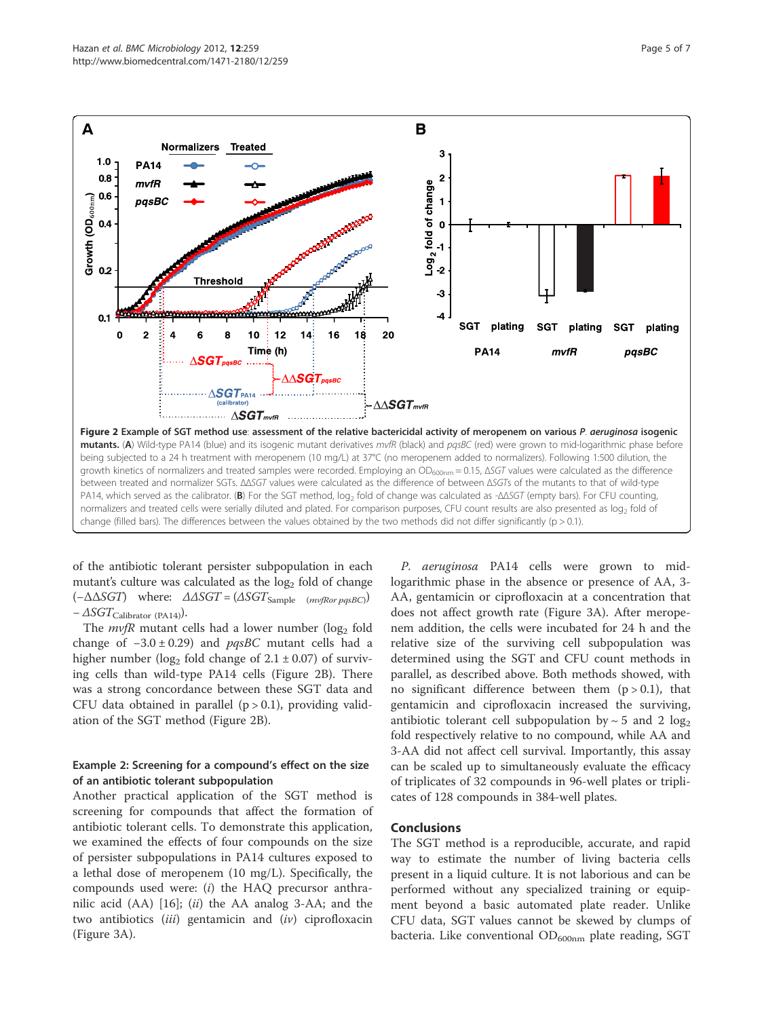A

Growth (OD600nm)

 $1.0$ 

0.8

06

 $04$ 

 $0.2$ 

 $0<sub>1</sub>$ 



Figure 2 Example of SGT method use: assessment of the relative bactericidal activity of meropenem on various P. aeruginosa isogenic mutants. (A) Wild-type PA14 (blue) and its isogenic mutant derivatives mvfR (black) and pasBC (red) were grown to mid-logarithmic phase before being subjected to a 24 h treatment with meropenem (10 mg/L) at 37°C (no meropenem added to normalizers). Following 1:500 dilution, the growth kinetics of normalizers and treated samples were recorded. Employing an OD<sub>600nm</sub> = 0.15, ΔSGT values were calculated as the difference between treated and normalizer SGTs. ΔΔSGT values were calculated as the difference of between ΔSGTs of the mutants to that of wild-type PA14, which served as the calibrator. (B) For the SGT method, log<sub>2</sub> fold of change was calculated as -ΔΔSGT (empty bars). For CFU counting, normalizers and treated cells were serially diluted and plated. For comparison purposes, CFU count results are also presented as log<sub>2</sub> fold of change (filled bars). The differences between the values obtained by the two methods did not differ significantly ( $p > 0.1$ ).

of the antibiotic tolerant persister subpopulation in each mutant's culture was calculated as the  $log<sub>2</sub>$  fold of change  $(-\Delta \Delta SGT)$  where:  $\Delta \Delta SGT = (\Delta SGT_{\text{Sample}} - (mvfRorpgsBC))$  $-\Delta SGT_{\text{Calibration (PA14)}}$ ).

 $\Delta$ SGT<sub>mvfR</sub>

The  $m\nu fR$  mutant cells had a lower number (log<sub>2</sub> fold change of  $-3.0 \pm 0.29$ ) and *pqsBC* mutant cells had a higher number (log<sub>2</sub> fold change of  $2.1 \pm 0.07$ ) of surviving cells than wild-type PA14 cells (Figure 2B). There was a strong concordance between these SGT data and CFU data obtained in parallel  $(p > 0.1)$ , providing validation of the SGT method (Figure 2B).

## Example 2: Screening for a compound's effect on the size of an antibiotic tolerant subpopulation

Another practical application of the SGT method is screening for compounds that affect the formation of antibiotic tolerant cells. To demonstrate this application, we examined the effects of four compounds on the size of persister subpopulations in PA14 cultures exposed to a lethal dose of meropenem (10 mg/L). Specifically, the compounds used were:  $(i)$  the HAQ precursor anthranilic acid  $(AA)$  [16];  $(ii)$  the AA analog 3-AA; and the two antibiotics  $(iii)$  gentamicin and  $(iv)$  ciprofloxacin (Figure 3A).

P. aeruginosa PA14 cells were grown to midlogarithmic phase in the absence or presence of AA, 3- AA, gentamicin or ciprofloxacin at a concentration that does not affect growth rate (Figure 3A). After meropenem addition, the cells were incubated for 24 h and the relative size of the surviving cell subpopulation was determined using the SGT and CFU count methods in parallel, as described above. Both methods showed, with no significant difference between them  $(p > 0.1)$ , that gentamicin and ciprofloxacin increased the surviving, antibiotic tolerant cell subpopulation by  $\sim$  5 and 2 log<sub>2</sub> fold respectively relative to no compound, while AA and 3-AA did not affect cell survival. Importantly, this assay can be scaled up to simultaneously evaluate the efficacy of triplicates of 32 compounds in 96-well plates or triplicates of 128 compounds in 384-well plates.

## Conclusions

The SGT method is a reproducible, accurate, and rapid way to estimate the number of living bacteria cells present in a liquid culture. It is not laborious and can be performed without any specialized training or equipment beyond a basic automated plate reader. Unlike CFU data, SGT values cannot be skewed by clumps of bacteria. Like conventional  $OD_{600nm}$  plate reading, SGT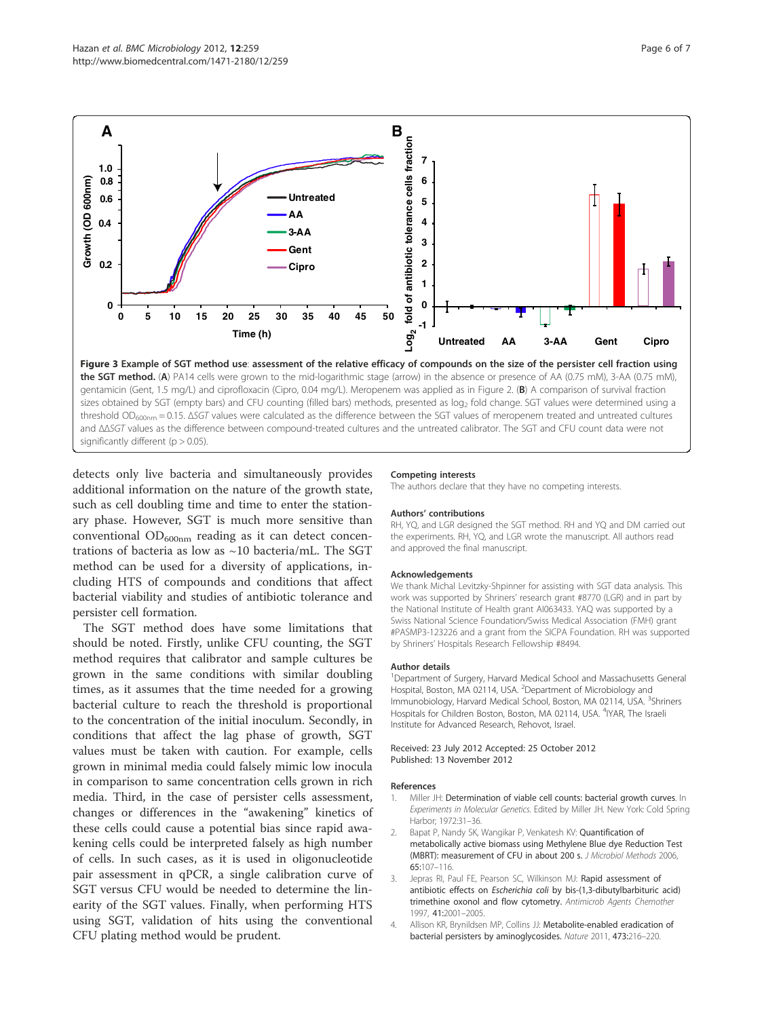

detects only live bacteria and simultaneously provides additional information on the nature of the growth state, such as cell doubling time and time to enter the stationary phase. However, SGT is much more sensitive than conventional  $OD_{600nm}$  reading as it can detect concentrations of bacteria as low as  $\sim$ 10 bacteria/mL. The SGT method can be used for a diversity of applications, including HTS of compounds and conditions that affect bacterial viability and studies of antibiotic tolerance and persister cell formation.

The SGT method does have some limitations that should be noted. Firstly, unlike CFU counting, the SGT method requires that calibrator and sample cultures be grown in the same conditions with similar doubling times, as it assumes that the time needed for a growing bacterial culture to reach the threshold is proportional to the concentration of the initial inoculum. Secondly, in conditions that affect the lag phase of growth, SGT values must be taken with caution. For example, cells grown in minimal media could falsely mimic low inocula in comparison to same concentration cells grown in rich media. Third, in the case of persister cells assessment, changes or differences in the "awakening" kinetics of these cells could cause a potential bias since rapid awakening cells could be interpreted falsely as high number of cells. In such cases, as it is used in oligonucleotide pair assessment in qPCR, a single calibration curve of SGT versus CFU would be needed to determine the linearity of the SGT values. Finally, when performing HTS using SGT, validation of hits using the conventional CFU plating method would be prudent.

#### Competing interests

The authors declare that they have no competing interests.

#### Authors' contributions

RH, YQ, and LGR designed the SGT method. RH and YQ and DM carried out the experiments. RH, YQ, and LGR wrote the manuscript. All authors read and approved the final manuscript.

#### Acknowledgements

We thank Michal Levitzky-Shpinner for assisting with SGT data analysis. This work was supported by Shriners' research grant #8770 (LGR) and in part by the National Institute of Health grant AI063433. YAQ was supported by a Swiss National Science Foundation/Swiss Medical Association (FMH) grant #PASMP3-123226 and a grant from the SICPA Foundation. RH was supported by Shriners' Hospitals Research Fellowship #8494.

#### Author details

<sup>1</sup>Department of Surgery, Harvard Medical School and Massachusetts General Hospital, Boston, MA 02114, USA. <sup>2</sup>Department of Microbiology and Immunobiology, Harvard Medical School, Boston, MA 02114, USA. <sup>3</sup>Shriners Hospitals for Children Boston, Boston, MA 02114, USA. <sup>4</sup>IYAR, The Israeli Institute for Advanced Research, Rehovot, Israel.

#### Received: 23 July 2012 Accepted: 25 October 2012 Published: 13 November 2012

#### References

- Miller JH: Determination of viable cell counts: bacterial growth curves. In Experiments in Molecular Genetics. Edited by Miller JH. New York: Cold Spring Harbor; 1972:31–36.
- Bapat P, Nandy SK, Wangikar P, Venkatesh KV: Quantification of metabolically active biomass using Methylene Blue dye Reduction Test (MBRT): measurement of CFU in about 200 s. J Microbiol Methods 2006, 65:107–116.
- 3. Jepras RI, Paul FE, Pearson SC, Wilkinson MJ: Rapid assessment of antibiotic effects on Escherichia coli by bis-(1,3-dibutylbarbituric acid) trimethine oxonol and flow cytometry. Antimicrob Agents Chemother 1997, 41:2001–2005.
- 4. Allison KR, Brynildsen MP, Collins JJ: Metabolite-enabled eradication of bacterial persisters by aminoglycosides. Nature 2011, 473:216–220.